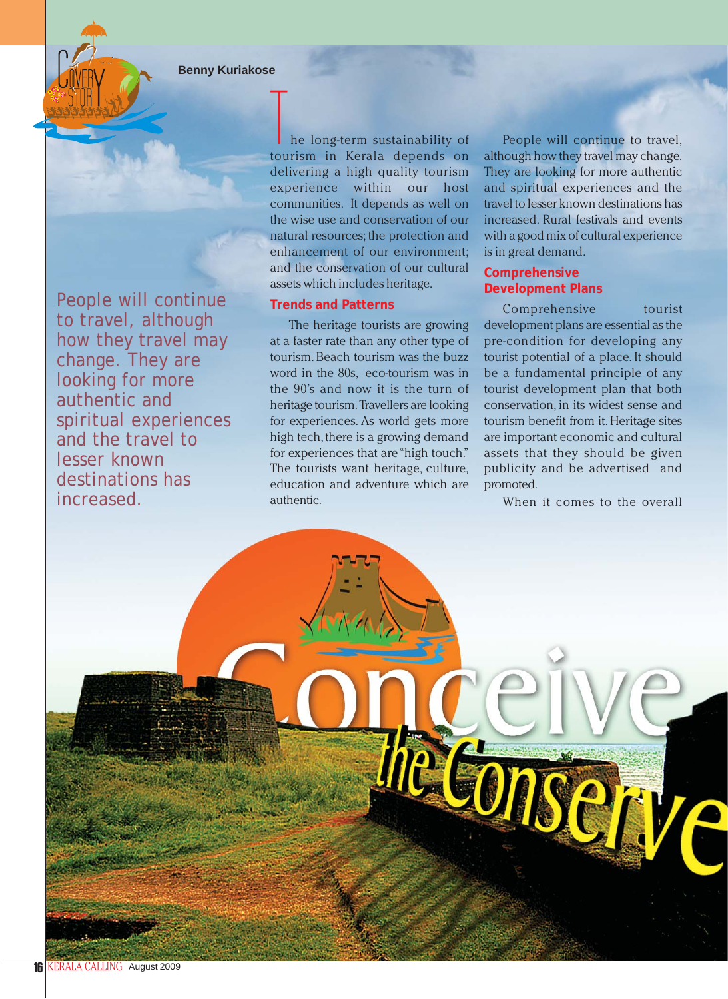**Benny Kuriakose**

People will continue to travel, although how they travel may change. They are looking for more authentic and spiritual experiences and the travel to lesser known destinations has increased.

he long-term sustainability of tourism in Kerala depends on delivering a high quality tourism experience within our host communities. It depends as well on the wise use and conservation of our natural resources; the protection and enhancement of our environment; and the conservation of our cultural assets which includes heritage.

## **Trends and Patterns**

The heritage tourists are growing at a faster rate than any other type of tourism. Beach tourism was the buzz word in the 80s, eco-tourism was in the 90's and now it is the turn of heritage tourism. Travellers are looking for experiences. As world gets more high tech, there is a growing demand for experiences that are "high touch." The tourists want heritage, culture, education and adventure which are authentic.

People will continue to travel, although how they travel may change. They are looking for more authentic and spiritual experiences and the travel to lesser known destinations has increased. Rural festivals and events with a good mix of cultural experience is in great demand.

# **Comprehensive Development Plans**

Comprehensive tourist development plans are essential as the pre-condition for developing any tourist potential of a place. It should be a fundamental principle of any tourist development plan that both conservation, in its widest sense and tourism benefit from it. Heritage sites are important economic and cultural assets that they should be given publicity and be advertised and promoted.

When it comes to the overall